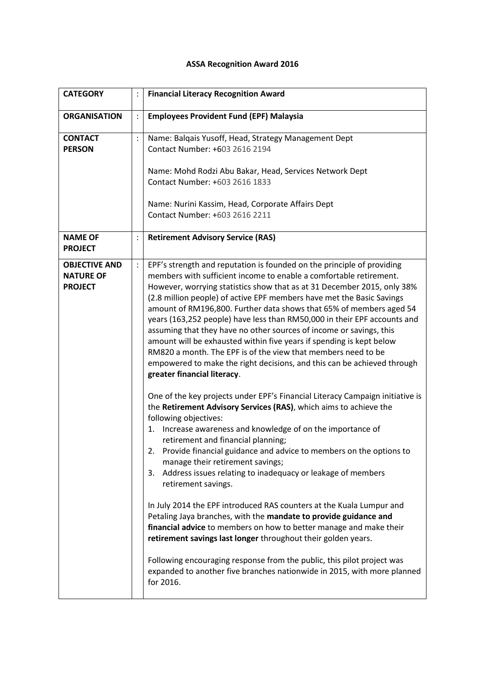## **ASSA Recognition Award 2016**

| <b>CATEGORY</b>                                            | $\ddot{\cdot}$       | <b>Financial Literacy Recognition Award</b>                                                                                                                                                                                                                                                                                                                                                                                                                                                                                                                                                                                                                                                                                                                                                                                                                                                                                                                                                                                                                                                                                                                                                                                                                                                                                                                                                                                                                                                                                                                                                                                                                                                                                        |
|------------------------------------------------------------|----------------------|------------------------------------------------------------------------------------------------------------------------------------------------------------------------------------------------------------------------------------------------------------------------------------------------------------------------------------------------------------------------------------------------------------------------------------------------------------------------------------------------------------------------------------------------------------------------------------------------------------------------------------------------------------------------------------------------------------------------------------------------------------------------------------------------------------------------------------------------------------------------------------------------------------------------------------------------------------------------------------------------------------------------------------------------------------------------------------------------------------------------------------------------------------------------------------------------------------------------------------------------------------------------------------------------------------------------------------------------------------------------------------------------------------------------------------------------------------------------------------------------------------------------------------------------------------------------------------------------------------------------------------------------------------------------------------------------------------------------------------|
| <b>ORGANISATION</b>                                        | ÷                    | <b>Employees Provident Fund (EPF) Malaysia</b>                                                                                                                                                                                                                                                                                                                                                                                                                                                                                                                                                                                                                                                                                                                                                                                                                                                                                                                                                                                                                                                                                                                                                                                                                                                                                                                                                                                                                                                                                                                                                                                                                                                                                     |
| <b>CONTACT</b><br><b>PERSON</b>                            | $\ddot{\cdot}$       | Name: Balqais Yusoff, Head, Strategy Management Dept<br>Contact Number: +603 2616 2194<br>Name: Mohd Rodzi Abu Bakar, Head, Services Network Dept<br>Contact Number: +603 2616 1833<br>Name: Nurini Kassim, Head, Corporate Affairs Dept<br>Contact Number: +603 2616 2211                                                                                                                                                                                                                                                                                                                                                                                                                                                                                                                                                                                                                                                                                                                                                                                                                                                                                                                                                                                                                                                                                                                                                                                                                                                                                                                                                                                                                                                         |
| <b>NAME OF</b><br><b>PROJECT</b>                           | $\ddot{\cdot}$       | <b>Retirement Advisory Service (RAS)</b>                                                                                                                                                                                                                                                                                                                                                                                                                                                                                                                                                                                                                                                                                                                                                                                                                                                                                                                                                                                                                                                                                                                                                                                                                                                                                                                                                                                                                                                                                                                                                                                                                                                                                           |
| <b>OBJECTIVE AND</b><br><b>NATURE OF</b><br><b>PROJECT</b> | $\ddot{\phantom{a}}$ | EPF's strength and reputation is founded on the principle of providing<br>members with sufficient income to enable a comfortable retirement.<br>However, worrying statistics show that as at 31 December 2015, only 38%<br>(2.8 million people) of active EPF members have met the Basic Savings<br>amount of RM196,800. Further data shows that 65% of members aged 54<br>years (163,252 people) have less than RM50,000 in their EPF accounts and<br>assuming that they have no other sources of income or savings, this<br>amount will be exhausted within five years if spending is kept below<br>RM820 a month. The EPF is of the view that members need to be<br>empowered to make the right decisions, and this can be achieved through<br>greater financial literacy.<br>One of the key projects under EPF's Financial Literacy Campaign initiative is<br>the Retirement Advisory Services (RAS), which aims to achieve the<br>following objectives:<br>Increase awareness and knowledge of on the importance of<br>1.<br>retirement and financial planning;<br>Provide financial guidance and advice to members on the options to<br>2.<br>manage their retirement savings;<br>3. Address issues relating to inadequacy or leakage of members<br>retirement savings.<br>In July 2014 the EPF introduced RAS counters at the Kuala Lumpur and<br>Petaling Jaya branches, with the mandate to provide guidance and<br>financial advice to members on how to better manage and make their<br>retirement savings last longer throughout their golden years.<br>Following encouraging response from the public, this pilot project was<br>expanded to another five branches nationwide in 2015, with more planned<br>for 2016. |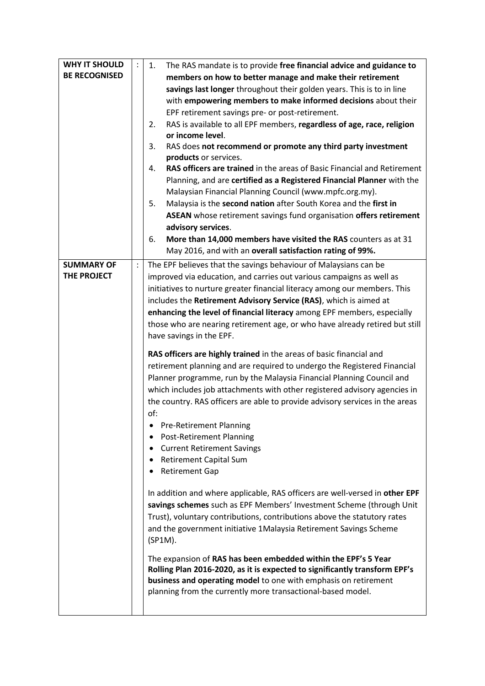| <b>WHY IT SHOULD</b> | $\vdots$       | The RAS mandate is to provide free financial advice and guidance to<br>1.                                                                     |
|----------------------|----------------|-----------------------------------------------------------------------------------------------------------------------------------------------|
| <b>BE RECOGNISED</b> |                | members on how to better manage and make their retirement                                                                                     |
|                      |                | savings last longer throughout their golden years. This is to in line                                                                         |
|                      |                | with empowering members to make informed decisions about their                                                                                |
|                      |                | EPF retirement savings pre- or post-retirement.                                                                                               |
|                      |                | RAS is available to all EPF members, regardless of age, race, religion<br>2.                                                                  |
|                      |                | or income level.                                                                                                                              |
|                      |                | RAS does not recommend or promote any third party investment<br>3.                                                                            |
|                      |                | products or services.                                                                                                                         |
|                      |                | RAS officers are trained in the areas of Basic Financial and Retirement<br>4.                                                                 |
|                      |                | Planning, and are certified as a Registered Financial Planner with the                                                                        |
|                      |                | Malaysian Financial Planning Council (www.mpfc.org.my).                                                                                       |
|                      |                | Malaysia is the second nation after South Korea and the first in<br>5.                                                                        |
|                      |                | ASEAN whose retirement savings fund organisation offers retirement                                                                            |
|                      |                | advisory services.                                                                                                                            |
|                      |                | More than 14,000 members have visited the RAS counters as at 31<br>6.                                                                         |
|                      |                | May 2016, and with an overall satisfaction rating of 99%.                                                                                     |
| <b>SUMMARY OF</b>    | $\ddot{\cdot}$ | The EPF believes that the savings behaviour of Malaysians can be                                                                              |
| THE PROJECT          |                | improved via education, and carries out various campaigns as well as                                                                          |
|                      |                | initiatives to nurture greater financial literacy among our members. This                                                                     |
|                      |                | includes the Retirement Advisory Service (RAS), which is aimed at                                                                             |
|                      |                | enhancing the level of financial literacy among EPF members, especially                                                                       |
|                      |                | those who are nearing retirement age, or who have already retired but still                                                                   |
|                      |                | have savings in the EPF.                                                                                                                      |
|                      |                |                                                                                                                                               |
|                      |                | RAS officers are highly trained in the areas of basic financial and                                                                           |
|                      |                | retirement planning and are required to undergo the Registered Financial                                                                      |
|                      |                | Planner programme, run by the Malaysia Financial Planning Council and                                                                         |
|                      |                | which includes job attachments with other registered advisory agencies in                                                                     |
|                      |                | the country. RAS officers are able to provide advisory services in the areas<br>of:                                                           |
|                      |                |                                                                                                                                               |
|                      |                | Pre-Retirement Planning<br><b>Post-Retirement Planning</b>                                                                                    |
|                      |                | <b>Current Retirement Savings</b>                                                                                                             |
|                      |                | Retirement Capital Sum                                                                                                                        |
|                      |                | <b>Retirement Gap</b><br>٠                                                                                                                    |
|                      |                |                                                                                                                                               |
|                      |                | In addition and where applicable, RAS officers are well-versed in other EPF                                                                   |
|                      |                | savings schemes such as EPF Members' Investment Scheme (through Unit                                                                          |
|                      |                | Trust), voluntary contributions, contributions above the statutory rates                                                                      |
|                      |                | and the government initiative 1Malaysia Retirement Savings Scheme                                                                             |
|                      |                | $(SP1M)$ .                                                                                                                                    |
|                      |                |                                                                                                                                               |
|                      |                | The expansion of RAS has been embedded within the EPF's 5 Year                                                                                |
|                      |                | Rolling Plan 2016-2020, as it is expected to significantly transform EPF's<br>business and operating model to one with emphasis on retirement |
|                      |                | planning from the currently more transactional-based model.                                                                                   |
|                      |                |                                                                                                                                               |
|                      |                |                                                                                                                                               |